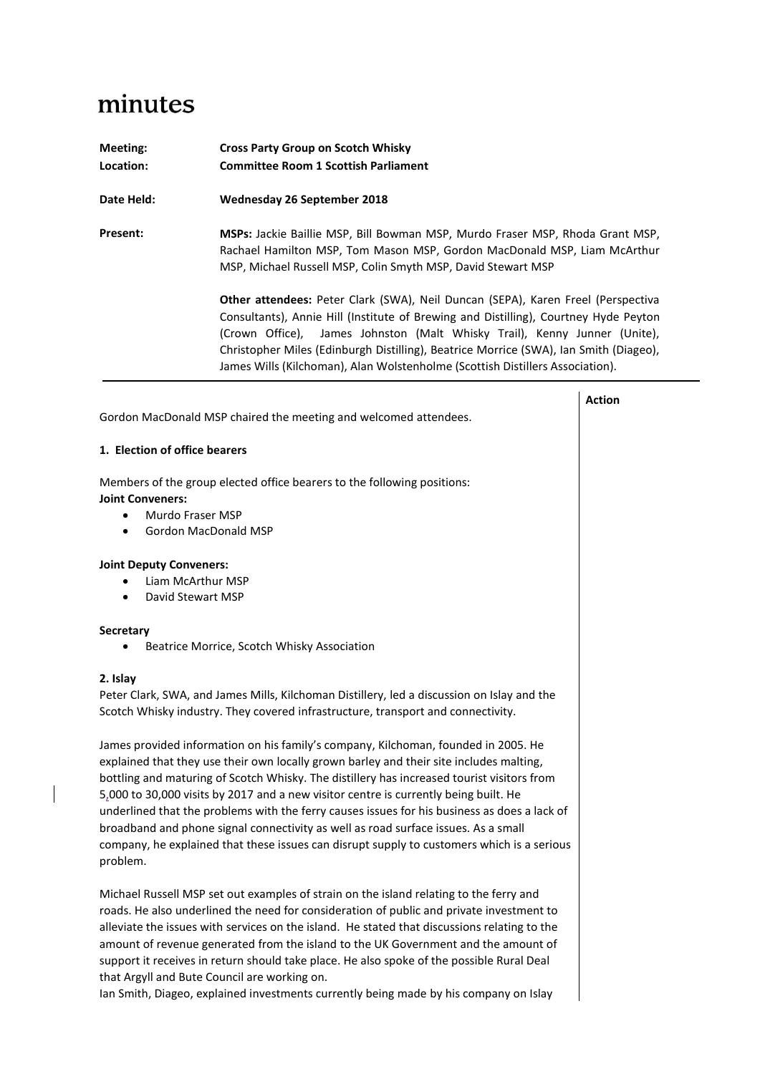## minutes

 $\overline{\mathbf{I}}$ 

| Meeting:<br>Location: | <b>Cross Party Group on Scotch Whisky</b><br><b>Committee Room 1 Scottish Parliament</b>                                                                                                                                                                                                                                                                                                                                        |
|-----------------------|---------------------------------------------------------------------------------------------------------------------------------------------------------------------------------------------------------------------------------------------------------------------------------------------------------------------------------------------------------------------------------------------------------------------------------|
| Date Held:            | Wednesday 26 September 2018                                                                                                                                                                                                                                                                                                                                                                                                     |
| <b>Present:</b>       | MSPs: Jackie Baillie MSP, Bill Bowman MSP, Murdo Fraser MSP, Rhoda Grant MSP,<br>Rachael Hamilton MSP, Tom Mason MSP, Gordon MacDonald MSP, Liam McArthur<br>MSP, Michael Russell MSP, Colin Smyth MSP, David Stewart MSP                                                                                                                                                                                                       |
|                       | Other attendees: Peter Clark (SWA), Neil Duncan (SEPA), Karen Freel (Perspectiva<br>Consultants), Annie Hill (Institute of Brewing and Distilling), Courtney Hyde Peyton<br>(Crown Office), James Johnston (Malt Whisky Trail), Kenny Junner (Unite),<br>Christopher Miles (Edinburgh Distilling), Beatrice Morrice (SWA), Ian Smith (Diageo),<br>James Wills (Kilchoman), Alan Wolstenholme (Scottish Distillers Association). |
|                       |                                                                                                                                                                                                                                                                                                                                                                                                                                 |

| Gordon MacDonald MSP chaired the meeting and welcomed attendees.                                                                                                                                                                                                                                                                                                                                                                                                                                                                                                                                                                                                                                                                                                                                                                                                  |  |  |
|-------------------------------------------------------------------------------------------------------------------------------------------------------------------------------------------------------------------------------------------------------------------------------------------------------------------------------------------------------------------------------------------------------------------------------------------------------------------------------------------------------------------------------------------------------------------------------------------------------------------------------------------------------------------------------------------------------------------------------------------------------------------------------------------------------------------------------------------------------------------|--|--|
| 1. Election of office bearers                                                                                                                                                                                                                                                                                                                                                                                                                                                                                                                                                                                                                                                                                                                                                                                                                                     |  |  |
| Members of the group elected office bearers to the following positions:<br><b>Joint Conveners:</b><br>Murdo Fraser MSP<br>$\bullet$<br>Gordon MacDonald MSP<br>$\bullet$                                                                                                                                                                                                                                                                                                                                                                                                                                                                                                                                                                                                                                                                                          |  |  |
| <b>Joint Deputy Conveners:</b><br>Liam McArthur MSP<br>David Stewart MSP<br>$\bullet$                                                                                                                                                                                                                                                                                                                                                                                                                                                                                                                                                                                                                                                                                                                                                                             |  |  |
| <b>Secretary</b><br>Beatrice Morrice, Scotch Whisky Association<br>$\bullet$                                                                                                                                                                                                                                                                                                                                                                                                                                                                                                                                                                                                                                                                                                                                                                                      |  |  |
| 2. Islay<br>Peter Clark, SWA, and James Mills, Kilchoman Distillery, led a discussion on Islay and the<br>Scotch Whisky industry. They covered infrastructure, transport and connectivity.<br>James provided information on his family's company, Kilchoman, founded in 2005. He<br>explained that they use their own locally grown barley and their site includes malting,<br>bottling and maturing of Scotch Whisky. The distillery has increased tourist visitors from<br>5,000 to 30,000 visits by 2017 and a new visitor centre is currently being built. He<br>underlined that the problems with the ferry causes issues for his business as does a lack of<br>broadband and phone signal connectivity as well as road surface issues. As a small<br>company, he explained that these issues can disrupt supply to customers which is a serious<br>problem. |  |  |
| Michael Russell MSP set out examples of strain on the island relating to the ferry and<br>roads. He also underlined the need for consideration of public and private investment to<br>alleviate the issues with services on the island. He stated that discussions relating to the<br>amount of revenue generated from the island to the UK Government and the amount of<br>support it receives in return should take place. He also spoke of the possible Rural Deal<br>that Argyll and Bute Council are working on.<br>Ian Smith, Diageo, explained investments currently being made by his company on Islay                                                                                                                                                                                                                                                    |  |  |